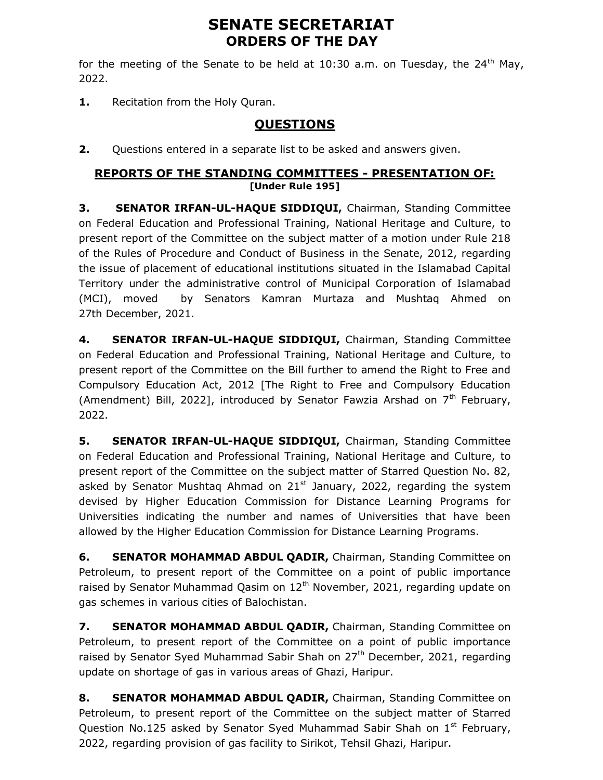# SENATE SECRETARIAT ORDERS OF THE DAY

for the meeting of the Senate to be held at 10:30 a.m. on Tuesday, the 24<sup>th</sup> May, 2022.

1. Recitation from the Holy Quran.

# QUESTIONS

2. Questions entered in a separate list to be asked and answers given.

#### REPORTS OF THE STANDING COMMITTEES - PRESENTATION OF: [Under Rule 195]

3. SENATOR IRFAN-UL-HAQUE SIDDIQUI, Chairman, Standing Committee on Federal Education and Professional Training, National Heritage and Culture, to present report of the Committee on the subject matter of a motion under Rule 218 of the Rules of Procedure and Conduct of Business in the Senate, 2012, regarding the issue of placement of educational institutions situated in the Islamabad Capital Territory under the administrative control of Municipal Corporation of Islamabad (MCI), moved by Senators Kamran Murtaza and Mushtaq Ahmed on 27th December, 2021.

4. SENATOR IRFAN-UL-HAQUE SIDDIQUI, Chairman, Standing Committee on Federal Education and Professional Training, National Heritage and Culture, to present report of the Committee on the Bill further to amend the Right to Free and Compulsory Education Act, 2012 [The Right to Free and Compulsory Education (Amendment) Bill, 2022], introduced by Senator Fawzia Arshad on  $7<sup>th</sup>$  February, 2022.

5. SENATOR IRFAN-UL-HAQUE SIDDIQUI, Chairman, Standing Committee on Federal Education and Professional Training, National Heritage and Culture, to present report of the Committee on the subject matter of Starred Question No. 82, asked by Senator Mushtaq Ahmad on  $21^{st}$  January, 2022, regarding the system devised by Higher Education Commission for Distance Learning Programs for Universities indicating the number and names of Universities that have been allowed by the Higher Education Commission for Distance Learning Programs.

**6.** SENATOR MOHAMMAD ABDUL QADIR, Chairman, Standing Committee on Petroleum, to present report of the Committee on a point of public importance raised by Senator Muhammad Qasim on 12<sup>th</sup> November, 2021, regarding update on gas schemes in various cities of Balochistan.

7. SENATOR MOHAMMAD ABDUL QADIR, Chairman, Standing Committee on Petroleum, to present report of the Committee on a point of public importance raised by Senator Syed Muhammad Sabir Shah on  $27<sup>th</sup>$  December, 2021, regarding update on shortage of gas in various areas of Ghazi, Haripur.

8. SENATOR MOHAMMAD ABDUL QADIR, Chairman, Standing Committee on Petroleum, to present report of the Committee on the subject matter of Starred Question No.125 asked by Senator Syed Muhammad Sabir Shah on  $1<sup>st</sup>$  February, 2022, regarding provision of gas facility to Sirikot, Tehsil Ghazi, Haripur.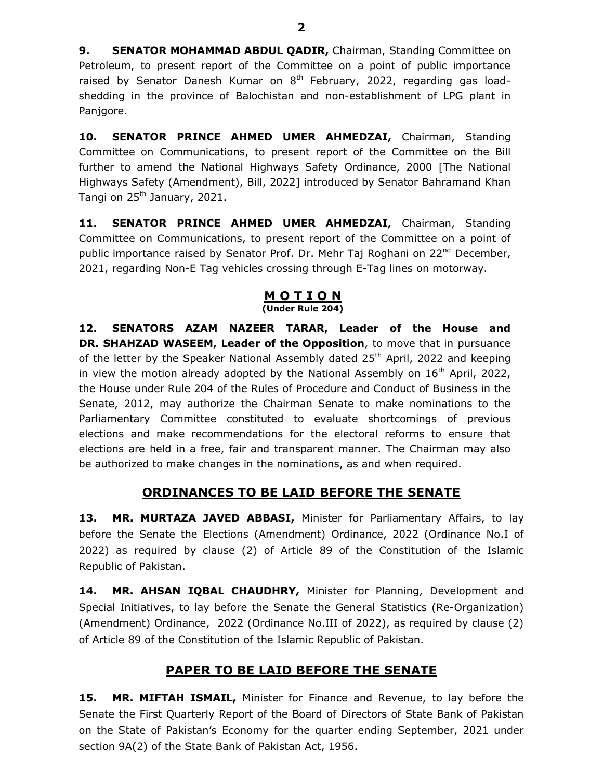9. SENATOR MOHAMMAD ABDUL QADIR, Chairman, Standing Committee on Petroleum, to present report of the Committee on a point of public importance raised by Senator Danesh Kumar on  $8<sup>th</sup>$  February, 2022, regarding gas loadshedding in the province of Balochistan and non-establishment of LPG plant in Panjgore.

10. SENATOR PRINCE AHMED UMER AHMEDZAI, Chairman, Standing Committee on Communications, to present report of the Committee on the Bill further to amend the National Highways Safety Ordinance, 2000 [The National Highways Safety (Amendment), Bill, 2022] introduced by Senator Bahramand Khan Tangi on 25<sup>th</sup> January, 2021.

11. SENATOR PRINCE AHMED UMER AHMEDZAI, Chairman, Standing Committee on Communications, to present report of the Committee on a point of public importance raised by Senator Prof. Dr. Mehr Taj Roghani on 22<sup>nd</sup> December, 2021, regarding Non-E Tag vehicles crossing through E-Tag lines on motorway.

### <u>M O T I O N</u>

#### (Under Rule 204)

12. SENATORS AZAM NAZEER TARAR, Leader of the House and DR. SHAHZAD WASEEM, Leader of the Opposition, to move that in pursuance of the letter by the Speaker National Assembly dated  $25<sup>th</sup>$  April, 2022 and keeping in view the motion already adopted by the National Assembly on  $16<sup>th</sup>$  April, 2022, the House under Rule 204 of the Rules of Procedure and Conduct of Business in the Senate, 2012, may authorize the Chairman Senate to make nominations to the Parliamentary Committee constituted to evaluate shortcomings of previous elections and make recommendations for the electoral reforms to ensure that elections are held in a free, fair and transparent manner. The Chairman may also be authorized to make changes in the nominations, as and when required.

#### ORDINANCES TO BE LAID BEFORE THE SENATE

13. MR. MURTAZA JAVED ABBASI, Minister for Parliamentary Affairs, to lay before the Senate the Elections (Amendment) Ordinance, 2022 (Ordinance No.I of 2022) as required by clause (2) of Article 89 of the Constitution of the Islamic Republic of Pakistan.

14. MR. AHSAN IOBAL CHAUDHRY, Minister for Planning, Development and Special Initiatives, to lay before the Senate the General Statistics (Re-Organization) (Amendment) Ordinance, 2022 (Ordinance No.III of 2022), as required by clause (2) of Article 89 of the Constitution of the Islamic Republic of Pakistan.

# PAPER TO BE LAID BEFORE THE SENATE

15. MR. MIFTAH ISMAIL, Minister for Finance and Revenue, to lay before the Senate the First Quarterly Report of the Board of Directors of State Bank of Pakistan on the State of Pakistan's Economy for the quarter ending September, 2021 under section 9A(2) of the State Bank of Pakistan Act, 1956.